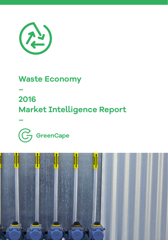

### **Waste Economy**

**–** 

**–**

### **2016 Market Intelligence Report**



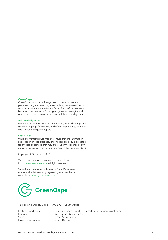#### **GreenCape**

GreenCape is a non-profit organisation that supports and promotes the green economy - low carbon, resource efficient and socially inclusive - in the Western Cape, South Africa. We assist businesses and investors focusing on green technologies and services to remove barriers to their establishment and growth.

#### Acknowledgements

We thank Quinton Williams, Kirsten Barnes, Tawanda Sango and Gracia Munganga for the time and effort that went into compiling this Market Intelligence Report.

#### Disclaimer

While every attempt was made to ensure that the information published in this report is accurate, no responsibility is accepted for any loss or damage that may arise out of the reliance of any person or entity upon any of the information this report contains.

Copyright © GreenCape 2016

This document may be downloaded at no charge from www.greencape.co.za. All rights reserved.

Subscribe to receive e-mail alerts or GreenCape news, events and publications by registering as a member on our website: www.greencape.co.za



18 Roeland Street, Cape Town, 8001, South Africa

Layout and design:

Editorial and review: Lauren Basson, Sarah O'Carroll and Salomé Bronkhorst Images: Wasteplan, GreenCape<br>Cover: GreenCape, 2015 GreenCape, 2015<br>Deep Design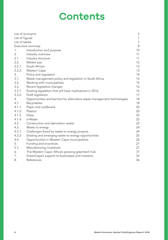# **Contents**

| List of acronyms |                                                                          | 5                |
|------------------|--------------------------------------------------------------------------|------------------|
| List of figures  |                                                                          |                  |
| List of tables   |                                                                          | $\boldsymbol{7}$ |
|                  | Executive summary                                                        | 8                |
| 1.               | Introduction and purpose                                                 | 10               |
| 2.               | Industry overview                                                        | 11               |
| 2.1.             | Industry structure                                                       | 11               |
| 2.2.             | Market size                                                              | 12               |
| 2.2.1.           | South African                                                            | 12               |
|                  | 2.2.2. Western Cape                                                      | 13               |
| 3.               | Policy and regulation                                                    | 14               |
| 3.1.             | Waste management policy and legislation in South Africa                  | 14               |
| 3.2.             | Working with municipalities                                              | 15               |
| 3.3.             | Recent legislative changes                                               | 16               |
| 3.3.1.           | Existing legislation that will have implications in 2016                 | 16               |
| 3.3.2.           | Draft legislation                                                        | 17               |
| 4.               | Opportunities and barriers for alternative waste management technologies | 18               |
| 4.1.             | Recyclables                                                              | 18               |
| 4.1.1.           | Paper and cardboard                                                      | 20               |
| 4.1.2.           | Plastics                                                                 | 20               |
| 4.1.3.           | Glass                                                                    | 22               |
| 4.1.4.           | e-Waste                                                                  | 22               |
| 4.2.             | Construction and demolition waste                                        | 23               |
| 4.3.             | Waste to energy                                                          | 24               |
| 4.3.1.           | Challenges faced by waste to energy projects                             | 24               |
| 4.3.2.           | Existing and emerging waste to energy opportunities                      | 25               |
| 4.4.             | Opportunities in Western Cape municipalities                             | 26               |
| 5.               | Funding and incentives                                                   | 27               |
| 5.1.             | Manufacturing incentives                                                 | 27               |
| 6.               | The Western Cape: Africa's growing greentech hub                         | 31               |
| 7.               | GreenCape's support to businesses and investors                          | 33               |
| 8.               | References                                                               | 36               |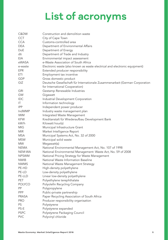# **List of acronyms**

| C&DW          | Construction and demolition waste                                           |
|---------------|-----------------------------------------------------------------------------|
| <b>CCT</b>    | City of Cape Town                                                           |
| <b>CCA</b>    | Customs-controlled area                                                     |
| <b>DEA</b>    | Department of Environmental Affairs                                         |
| DoE           | Department of Energy                                                        |
| dti           | Department of Trade and Industry                                            |
| EIA           | Environmental impact assessment                                             |
| eWASA         | e-Waste Association of South Africa                                         |
| e-waste       | Electronic waste (also known as waste electrical and electronic equipment)  |
| EPR           | Extended producer responsibility                                            |
| ETI           | Employment tax incentive                                                    |
| <b>GDP</b>    | Gross domestic product                                                      |
| GIZ           | Deutsche Gesellschaft für Internationale Zusammenarbeit (German Corporation |
|               | for International Cooperation)                                              |
| <b>GRI</b>    | Gestamp Renewable Industries                                                |
| GW            | Gigawatt                                                                    |
| <b>IDC</b>    | Industrial Development Corporation                                          |
| IT.           | Information technology                                                      |
| <b>IPP</b>    | Independent power producer                                                  |
| <b>IndWMP</b> | Industry waste management plan                                              |
|               |                                                                             |
| IWM           | Integrated Waste Management                                                 |
| <b>KFW</b>    | Kreditanstalt für Wiederaufbau Development Bank                             |
| kW/h          | Kilowatt hour(s)                                                            |
| MIG.          | Municipal Infrastructure Grant                                              |
| MIR.          | Market Intelligence Report                                                  |
| <b>MSA</b>    | Municipal Systems Act, No. 32 of 2000                                       |
| <b>MSW</b>    | Municipal solid waste                                                       |
| MW.           | Megawatt(s)                                                                 |
| <b>NEMA</b>   | National Environmental Management Act, No. 107 of 1998                      |
| NEM:WA        | National Environmental Management: Waste Act, No. 59 of 2008                |
| <b>NPSWM</b>  | National Pricing Strategy for Waste Management                              |
| <b>NWIB</b>   | National Waste Information Baseline                                         |
| <b>NWMS</b>   | National Waste Management Strategy                                          |
| PE-HD         | High-density polyethylene                                                   |
| PE-LD         | Low-density polyethylene                                                    |
| PE-LLD        | Linear low-density polyethylene                                             |
| PET           | Polyethylene terephthalate                                                  |
| <b>POLYCO</b> | Polyolefin Recycling Company                                                |
| PP            | Polypropylene                                                               |
| PPP           | Public-private partnership                                                  |
| <b>PRASA</b>  | Paper Recycling Association of South Africa                                 |
| <b>PRO</b>    | Producer responsibility organisation                                        |
| PS            | Polystyrene                                                                 |
| PS-E          | Polystyrene expanded                                                        |
| <b>PSPC</b>   | Polystyrene Packaging Council                                               |
| <b>PVC</b>    | Polyvinyl chloride                                                          |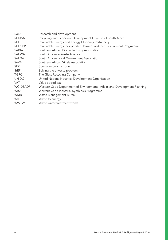| R&D             | Research and development                                                  |
|-----------------|---------------------------------------------------------------------------|
| <b>REDISA</b>   | Recycling and Economic Development Initiative of South Africa             |
| <b>REEEP</b>    | Renewable Energy and Energy Efficiency Partnership                        |
| <b>REIPPPP</b>  | Renewable Energy Independent Power Producer Procurement Programme         |
| <b>SABIA</b>    | Southern African Biogas Industry Association                              |
| <b>SAEWA</b>    | South African e-Waste Alliance                                            |
| SALGA           | South African Local Government Association                                |
| <b>SAVA</b>     | Southern African Vinyls Association                                       |
| <b>SEZ</b>      | Special economic zone                                                     |
| <b>StEP</b>     | Solving the e-waste problem                                               |
| <b>TGRC</b>     | The Glass Recycling Company                                               |
| <b>UNIDO</b>    | United Nations Industrial Development Organization                        |
| <b>VAT</b>      | Value added tax                                                           |
| <b>WC-DEADP</b> | Western Cape Department of Environmental Affairs and Development Planning |
| <b>WISP</b>     | Western Cape Industrial Symbiosis Programme                               |
| <b>WMB</b>      | Waste Management Bureau                                                   |
| W <sub>tE</sub> | Waste to energy                                                           |
| <b>WWTW</b>     | Waste water treatment works                                               |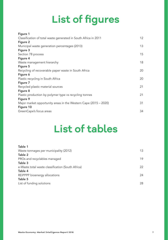# **List of figures**

| Figure 1                                                         |    |
|------------------------------------------------------------------|----|
| Classification of total waste generated in South Africa in 2011  | 12 |
| Figure 2                                                         |    |
| Municipal waste generation percentages (2013)                    | 13 |
| Figure 3                                                         |    |
| Section 78 process                                               | 15 |
| Figure 4                                                         |    |
| Waste management hierarchy                                       | 18 |
| Figure 5                                                         |    |
| Recycling of recoverable paper waste in South Africa             | 20 |
| Figure 6                                                         |    |
| Plastic recycling in South Africa                                | 20 |
| Figure 7                                                         |    |
| Recycled plastic material sources                                | 21 |
| Figure 8                                                         |    |
| Plastic production by polymer type vs recycling tonnes           | 21 |
| Figure 9                                                         |    |
| Major market opportunity areas in the Western Cape (2015 – 2020) | 31 |
| Figure 10                                                        |    |
| GreenCape's focus areas                                          | 34 |

# **List of tables**

| Table 1                                           |    |
|---------------------------------------------------|----|
| Waste tonnages per municipality (2012)            | 13 |
| Table 2                                           |    |
| PROs and recyclables managed                      | 19 |
| Table 3                                           |    |
| e-Waste total waste classification (South Africa) | 22 |
| Table 4                                           |    |
| REIPPPP bioenergy allocations                     | 24 |
| Table 5                                           |    |
| List of funding solutions                         | 28 |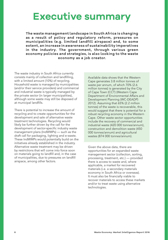### **Executive summary**

**The waste management landscape in South Africa is changing as a result of policy and regulatory reform, pressures on municipalities (e.g. limited landfill airspace) and, to some extent, an increase in awareness of sustainability imperatives in the industry. The government, through various green economy policies and strategies, is also looking to the waste economy as a job creator.** 

The waste industry in South Africa currently consists mainly of collection and landfilling, with a limited amount (10%) of recycling. Household waste is managed by municipalities (and/or their service providers) and commercial and industrial waste is typically managed by the private sector (in larger municipalities), although some waste may still be disposed of at municipal landfills.

There is potential to increase the amount of recycling and to create opportunities for the development and sale of alternative waste treatment technologies. Recycling would likely be further driven by the call for the development of sector-specific industry waste management plans (IndWMPs) — such as the draft call for packaging, lighting and e-waste. These IndWMPs would potentially build on the initiatives already established in the industry. Alternative waste treatment may be driven by restrictions that will come into force soon on materials going to landfill and, in the case of municipalities, due to pressures on landfill airspace, among other factors.

Available data shows that the Western Cape generates 3.8 million tonnes of waste per annum, of which 70% (2.6 million tonnes) is generated by the City of Cape Town (CCT) (Western Cape Department of Environmental Affairs and Development Planning (WC-DEADP) 2012). Assuming that 65% (2.2 million tonnes) of the waste is recoverable, this would suggest that there is potential for a robust recycling economy in the Western Cape. Other waste sector opportunities include the recovery of commercial and industrial waste (420 000 tonnes/annum), construction and demolition waste (450 000 tonnes/annum) and agricultural wastes (874 000 tonnes/annum).

Given the above data, there are opportunities for an expanded waste management sector (collection, sorting, processing, treatment, etc.) — provided there is access to waste and, where applicable, a market for recovered materials (i.e. a secondary materials economy in South Africa or overseas). It must also be financially viable to recover materials to access these markets and/or to treat waste using alternative technologies.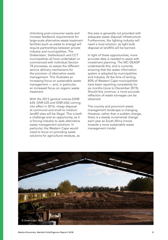Unlocking post-consumer waste and increase feedstock requirements for large-scale alternative waste treatment facilities (such as waste to energy) will require partnerships between private industry and municipalities. The Drakenstein, Stellenbosch and CCT municipalities all have undertaken or commenced with individual Section 78 processes, to assess the different service delivery mechanisms for the provision of alternative waste management. This illustrates an increasing focus on sustainable waste management — and, in particular, an increased focus on organic waste treatment.

With the 2013 general notices (GNR 634, GNR 635 and GNR 636) coming into effect in 2016, cheap disposal at communal and small to medium landfill sites will be illegal. This is both a challenge and an opportunity, as it is forcing industry to seek alternative waste management solutions. In particular, the Western Cape would need to focus on providing waste solutions for agricultural residues, as

this area is generally not provided with adequate waste disposal infrastructure. Furthermore, the lighting industry will need a local solution, as light bulb disposal at landfills will be banned.

In light of these opportunities, more accurate data is needed to assist with investment planning. The WC-DEADP understands this, and is currently ensuring that the waste information system is adopted by municipalities and industry. At the time of writing, 80% of Western Cape municipalities have been reporting consistently for six months (June to December 2015). Should this continue, a more accurate reflection of waste tonnages can be obtained.

The country and province's waste management landscape is changing. However, rather than a sudden change, there is a steady incremental change each year as South Africa moves towards a more sustainable waste management model.

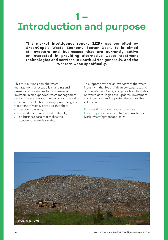## **1 – Introduction and purpose**

**This market intelligence report (MIR) was compiled by GreenCape's Waste Economy Sector Desk. It is aimed at investors and businesses that are currently active or interested in providing alternative waste treatment technologies and services in South Africa generally, and the Western Cape specifically.** 

This MIR outlines how the waste management landscape is changing and presents opportunities for businesses and investors in an expanded waste management sector. There are opportunities across the value chain in the collection, sorting, processing and treatment of waste, provided that there:

- is access to waste;
- are markets for recovered materials;
- is a business case that makes the recovery of materials viable.

This report provides an overview of the waste industry in the South African context, focusing on the Western Cape, and provides information on waste data, legislative updates, investment and incentives and opportunities across the value chain.

For questions or queries, or to access GreenCape's services contact our Waste Sector Desk: waste@greencape.co.za

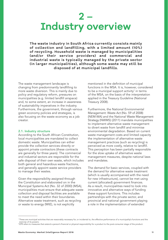### **2 – Industry overview**

**The waste industry in South Africa currently consists mainly of collection and landfilling, with a limited amount (10%) of recycling. Household waste is managed by municipalities (and/or their service providers) and commercial and industrial waste is typically managed by the private sector (in larger municipalities), although some waste may still be disposed of at municipal landfills.** 

The waste management landscape is changing from predominantly landfilling to more waste diversion. This is mainly due to policy and regulatory reform, pressures on municipalities (e.g. limited landfill airspace) and, to some extent, an increase in awareness of sustainability imperatives in the industry. Furthermore, the government, through various green economy policies and strategies, is also focusing on the waste economy as a job creator.

#### 2.1. Industry structure

According to the South African Constitution, local municipalities are mandated to collect domestic waste. Municipalities can either provide the collection services directly or appoint private contractors (these contracts are generally for three years). The commercial and industrial sectors are responsible for the safe disposal of their own waste, which includes both general and hazardous waste fractions, and generally appoint waste service providers to manage their wastes.

Given the responsibility assigned through the Constitution and elaborated on in the Municipal Systems Act (No. 32 of 2000) (MSA), municipalities must ensure that adequate waste collection and disposal facilities are available to meet the need within their boundaries. Alternative waste treatment, such as recycling or waste to energy (WtE), is not explicitly

mentioned in the definition of municipal functions in the MSA. It is, however, considered to be a municipal support activity<sup>1</sup> in terms of the MSA, on the basis of the interpretation applied in the Treasury Guideline (National Treasury 2008).

Furthermore, the National Environmental Management: Waste Act (No. 59 of 2008) (NEM:WA) and the National Waste Management Strategy (NWMS) (2011) mandate municipalities to implement alternative waste management to divert waste from landfill and minimise environmental degradation. Based on current waste management costs and limited capacity the implementation of alternative waste management practices (such as recycling) is perceived as more costly, relative to landfill. This perception has been partially responsible for the slow uptake of alternative waste management measures, despite national laws and mandates.

The demand for basic services, coupled with the demand for alternative waste treatment (which is usually accompanied with the need for new infrastructure), cannot be met using current (allocated) government finances. As a result, municipalities need to look into innovative and alternative ways of funding these support functions. This includes partnerships with the private sector, and provincial and national government playing a role in the implementation of extended

<sup>1</sup> These are municipal activities that are reasonably necessary for, or incidental to, the effective performance of a municipality's functions and the exercise of its powers.

<sup>&</sup>lt;sup>2</sup> EPR refers to measures that extend a person's financial or physical responsibility for a product to the post-consumer stage of the product.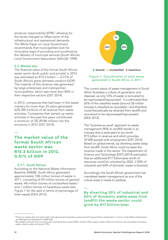producer responsibility (EPR),<sup>2</sup> allowing for the levies charged to offset some of the infrastructural and operational demands. The White Paper on Local Government recommends that municipalities look for innovative ways of providing and accelerating the delivery of municipal services (South African Local Government Association (SALGA) 1998).

#### 2.2. Market size

The financial value of the formal South African waste sector (both public and private) in 2012 was estimated as R15.3 billion — 0.51% of South Africa's gross domestic product (GDP). The majority of this revenue was generated by large enterprises and metropolitan municipalities, which was more than 80% in their respective sectors (DST 2014).

In 2012, companies that had been in the waste industry for more than 25 years generated 62% (R4.3 billion) of all revenue from waste activities. Companies that started up waste activities in the past five years contributed a minimum of 3% (R188 million) into the economy in 2012 (DST 2014).

— **The market value of the formal South African waste sector was R15.3 billion in 2012, 0.51% of GDP**

#### 2.2.1. South African

According to the National Waste Information Baseline (NWIB), South Africa generated approximately 108 million tonnes of waste in 2011, consisting of 59 million tonnes of general waste; 48 million tonnes of unclassified waste; $^3$ and 1 million tonnes of hazardous waste (see Figure 1 for the split in terms of percentage of total waste) (DEA 2012).



#### Figure 1: Classification of total waste generated in South Africa in 2011

The current status of waste management in South Africa illustrates a culture of generation and disposal, as only 10% of waste is recovered to be reprocessed/repurposed. It is estimated that 65% of the classified waste (around 38 million tonnes) is classified as recyclable,<sup>4</sup> and therefore could theoretically be diverted from landfill and recovered to be reprocessed/repurposed (DEA 2012).

The 'business as usual' approach to waste management (90% to landfill) results in an industry that is estimated to be worth R15 billion in revenue and which provides 29 000 people with employment (DST 2014). Based on global trends, by diverting waste away from landfill, South Africa could increase the revenue made in this sector. The Department of Science and Technology (DST) (2014) estimated that an additional R17 billion/year worth of resources could be unlocked by 2022, if 20% of industrial and 60% of domestic waste is diverted.

Accordingly, the South African government has mandated waste management as one of the critical areas it needs to address.

— **By diverting 20% of industrial and 60% of domestic waste away from landfill the waste sector could grow by R17 billion/year.**

<sup>3</sup> These are wastes that are listed under both general and hazardous waste and will require further classification, in terms of the Waste Classification

and Management Regulations (GNR 634). 4 Recyclable materials such as construction and demolition waste (20%), metals (13%), organic waste (13%) and common dry recyclables (including paper, plastics, glass and tyres) (19%).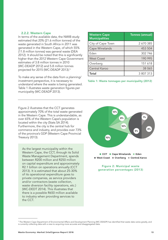#### 2.2.2. Western Cape

In terms of the available data, the NWIB study estimated that 20% (21.6 million tonnes) of the waste generated in South Africa in 2011 was generated in the Western Cape, of which 55% (11.8 million tonnes) was general waste (DEA 2012). It should be noted that this is significantly higher than the 2012 Western Cape Government estimates of 3.8 million tonnes in 2010 (WC-DEADP 2012) and 5.8 million tonnes projected for 2015 (WC-DEADP 2013).<sup>5</sup>

To make any sense of the data from a planning/ investment perspective, it is necessary to understand where the waste is being generated. Table 1 illustrates waste generation figures per municipality (WC-DEADP 2013).

| <b>Western Cape</b><br><b>Municipalities</b> | Tonnes (annual) |
|----------------------------------------------|-----------------|
| City of Cape Town                            | 2 670 385       |
| Cape Winelands                               | 453 504         |
| Eden                                         | 302 746         |
| <b>West Coast</b>                            | 190 995         |
| Overberg                                     | 151 618         |
| Central Karoo                                | 38 065          |
| Total                                        | 3 807 313       |

Table 1: Waste tonnages per municipality (2012)



• **CCT** • **Cape Winelands** • **Eden**  • **West Coast** • **Overberg** • **Central Karoo**

Figure 2: Municipal waste generation percentages (2013)

Figure 2 illustrates that the CCT generates approximately 70% of the total waste generated in the Western Cape. This is understandable, as over 65% of the Western Cape's population is located within the city (Stats SA 2014). Furthermore, the city is the central hub for commerce and industry, and provides over 73% of the province's GDP (Western Cape Provincial Treasury 2013).

As the largest municipality within the Western Cape, the CCT, through its Solid Waste Management Department, spends between R200 million and R250 million on capital expenditure and approximately R2.1 billion on operations annually (CCT 2013). It is estimated that about 25-30% of its operational expenditure goes to private companies, as service providers and/or contractors (waste collection, waste diversion facility operations, etc.) (WC-DEDT 2014). This illustrates that there is a possible R650 million available to industry when providing services to the CCT.

 $^{\rm 5}$  The Western Cape Department of Environmental Affairs and Development Planning (WC-DEADP) has identified that waste data varies greatly, and is currently collecting data with a view to acquiring more accurate and disaggregated data.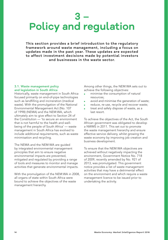# **3 – Policy and regulation**

**This section provides a brief introduction to the regulatory framework around waste management, including a focus on updates made in the past year. These updates are expected to affect investment decisions made by potential investors and businesses in the waste sector.** 

#### 3.1. Waste management policy and legislation in South Africa

Historically, waste management in South Africa focused primarily on end-of-pipe technologies such as landfilling and incineration (medical waste). With the promulgation of the National Environmental Management Act (No. 107 of 1998) (NEMA) and the NEM:WA, which ultimately aim to give effect to Section 24 of the Constitution — 'to secure an environment that is not harmful to the health and wellbeing of the people of South Africa' — waste management in South Africa has evolved to include additional requirements, such as waste minimisation and recycling.

The NEMA and the NEM:WA are guided by integrated environmental management principles that aim to ensure negative environmental impacts are prevented, mitigated and regulated by providing a range of tools and measures to monitor and manage activities that generate environmental impacts.

With the promulgation of the NEM:WA in 2008, all organs of state within South Africa were bound to achieve the objectives of the waste management hierarchy.

Among other things, the NEM:WA sets out to achieve the following objectives:

- **■** minimise the consumption of natural resources;
- avoid and minimise the generation of waste;
- reduce, re-use, recycle and recover waste;
- treat and safely dispose of waste, as a last resort.

To achieve the objectives of the Act, the South African government was obligated to develop a NWMS in 2011. This set out to promote the waste management hierarchy and ensure effective service delivery, whilst growing the waste economy by improving job creation and business development.

To ensure that the NEM:WA objectives are achieved without negatively impacting the environment, Government Notice No. 718 of 2009, recently amended by No. 921 of 2013, was promulgated. This government notice provides a list of waste management activities that may have a detrimental effect on the environment and which require a waste management licence to be issued prior to undertaking the activity.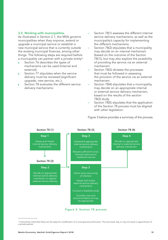#### 3.2. Working with municipalities

As illustrated in Section 2.1, the MSA governs municipalities when they improve, extend or upgrade a municipal service or establish a new municipal service that is currently outside the existing municipal finances, among other things. The following steps are required before a municipality can partner with a private entity<sup>6</sup>:

- Section 76 describes the types of mechanisms can be used (internal and external);
- Section 77 stipulates when the service delivery must be reviewed (significant upgrade, new service, etc.);
- Section 78 evaluates the different service delivery mechanisms:
- Section 78(1) assesses the different internal service delivery mechanisms, as well as the municipality's capacity for implementing the different mechanisms.
- Section 78(2) stipulates that a municipality may decide on an internal mechanism (based on the outcome of the Section 78(1)), but may also explore the possibility of providing the service via an external mechanism.
- Section 78(3) dictates the processes that must be followed in assessing the provision of the service via an external mechanism.
- Section 78(4) stipulates that a municipality may decide on an appropriate internal or external service delivery mechanism, based on the results of the section 78(3) study.
- Section 78(5) stipulates that the application of the Section 78 process must be aligned with other legislation.

Figure 3 below provides a summary of the process.



Figure 3: Section 78 process

 $^6$  It should be noted that these are the steps for modification of a municipal service/function. The end result may or may not result in appointment of a private partner.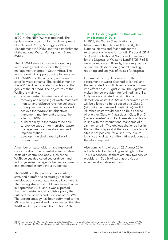#### 3.3. Recent legislative changes

In 2014, the NEM:WA was updated. This update made provision for the development of a National Pricing Strategy for Waste Management (NPSWM) and the establishment of the national Waste Management Bureau (WMB).

The NPSWM aims to provide the guiding methodology and basis for setting waste management charges in South Africa. The funds raised will support the implementation of IndWMPs and the recycling and reuse of specific waste streams. The establishment of the WMB is directly related to achieving the goals of the NPSWM. The objectives of the WMB are mainly to:

- enable waste minimisation and re-use, recovery and recycling of waste materials;
- monitor and disburse revenue collected through economic instruments applied to achieve the WMB's first objective;
- implement, monitor and evaluate the effects of IWMPs;
- build capacity in the WMB to be able to provide support for municipal waste management plan development and implementation;
- develop municipal capacity-building programmes.

A number of stakeholders have expressed concerns about the potential administrative costs of a centralised body, such as the WMB, versus dedicated sector-driven and industry-driven managed schemes, as currently implemented in some industry sectors.

The WMB is in the process of appointing staff, and a draft pricing strategy has been developed and circulated for public comment. The pricing strategy should have been finalised in September 2015, and it was expected that the minister would publish a policy that outlined the powers and functions of the WMB. The pricing strategy has been submitted to the Minister for approval and it is expected that the WMB will be operational from 1 April 2016.

#### 3.3.1. Existing legislation that will have implications in 2016

In 2013, the Waste Classification and Management Regulations (GNR 634), the National Norms and Standards for the Assessment of Waste for Landfill Disposal (GNR 635) and the National Norms and Standards for the Disposal of Waste to Landfill (GNR 636) were promulgated. Broadly, these regulations outline the classification, general handing, reporting and analysis of wastes for disposal.

In terms of the regulations above, the assessment of waste destined to landfill and the associated landfill classification will come into effect on 23 August 2016. The legislation makes limited provision for 'unlined' landfills. Only uncontaminated construction and demolition waste (C&DW) and excavated earth will be allowed to be disposed at a Class D (without an engineered plastic liner) landfill. All other waste would need to be disposed of at either Class  $A^7$  (hazardous), Class B or C (general waste)8 landfills. These standards are in line with the international standards of a sanitary landfill. The obvious challenge lies in the fact that disposal at the appropriate landfill sites is not possible for all industry, due to logistics and distance. Alternative solutions are therefore required.

Also coming into effect on 23 August 2016 is the landfill ban for all types of light bulbs. This is a concern, as there are only two service providers in South Africa that provide an effective alternative solution.

<sup>7</sup> H:H/H:h in terms of the Minimum Requirements for Waste Disposal at Landfill (2nd edition, Department of Water Affairs and Forestry, 1998). 8 G:L:B+ in terms of the Minimum Requirements for Waste Disposal at Landfill (2nd edition, Department of Water Affairs and Forestry, 1998).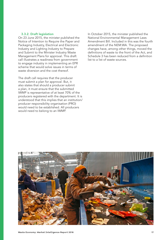#### 3.3.2. Draft legislation

On 23 June 2015, the minister published the Notice of Intention to Require the Paper and Packaging Industry, Electrical and Electronic Industry and Lighting Industry to Prepare and Submit to the Minister Industry Waste Management Plans for approval. This draft call illustrates a readiness from government to engage industry in implementing an EPR scheme that would solve issues in terms of waste diversion and the cost thereof.

The draft call requires that the producer must submit a plan for approval. But, it also states that should a producer submit a plan, it must ensure that the submitted IWMP is representative of at least 70% of the producers registered with the department. It is understood that this implies that an institution/ producer responsibility organisation (PRO) would need to be established. All producers would need to belong to an IWMP.

In October 2015, the minister published the National Environmental Management Laws Amendment Bill. Included in this was the fourth amendment of the NEM:WA. The proposed changes have, among other things, moved the definitions of waste to the front of the Act, and Schedule 3 has been reduced from a definition list to a list of waste sources.

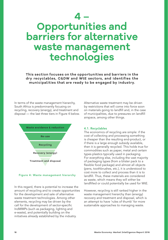# **4 – Opportunities and barriers for alternative waste management technologies**

**This section focuses on the opportunities and barriers in the dry recyclables, C&DW and WtE sectors, and identifies the municipalities that are ready to be engaged by industry.**

In terms of the waste management hierarchy, South Africa is predominantly focusing on recycling, recovery (energy), and treatment and disposal — the last three tiers in Figure 4 below.





In this regard, there is potential to increase the amount of recycling and to create opportunities for the development and sale of alternative waste treatment technologies. Among other elements, recycling may be driven by the call for the development of sector-specific IndWMPs (such as packaging, lighting and e-waste), and potentially building on the initiatives already established by the industry.

Alternative waste treatment may be driven by restrictions that will come into force soon on materials going to landfill and, in the case of municipalities, due to pressures on landfill airspace, among other things.

### 4.1. Recyclables

The economics of recycling are simple: if the cost of collecting and processing something is cheaper than the resulting end-product, or if there is a large enough subsidy available, then it is generally recycled. This holds true for commodities such as paper, metal and certain types plastics typically used in packaging. For everything else, including the vast majority of packaging types (from a blister pack to a flexible food package) and almost all objects (pens, toothbrushes, etc.), it is understood to cost more to collect and process than it is to landfill. Thus, these materials are considered as waste, which means they will either be landfilled or could potentially be used for WtE.

However, recycling is still ranked higher in the waste management hierarchy than (energy) recovery and treatment and disposal, which is an attempt to have 'rules of thumb' for more sustainable approaches to managing waste.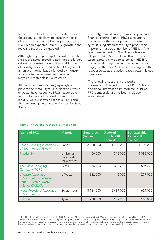In the face of landfill airspace shortages and the steady (albeit slow) increase in the cost of raw materials, as well as targets set by the NWMS and expected IndWMPs, growth in the recycling industry is expected.

Although recycling is legislated within South Africa, the actual recycling activities are largely driven by industry through the establishment of industry bodies or PROs. A PRO is generally a non-profit organisation funded by industry to promote the recovery and recycling of recyclable materials in South Africa.

All mainstream recyclables (paper, glass, plastics and metal), tyres and electronic waste (e-waste) have respective PROs responsible for the diversion of the waste from going to landfill. Table 2 shows a list active PROs and the tonnages generated and diverted for South Africa.

Currently, in most cases, membership of and financial contribution to PROs is voluntary. However, for the management of waste tyres, it is legislated that all tyre producers/ importers must be a member of REDISA (the tyre management PRO) and pay a levy on all tyres sold in South Africa. Thus, to access waste tyres, it is needed to consult REDISA. However, although it would be beneficial to engage with other PROs when dealing with the respective wastes (plastics, paper, etc.), it is not mandatory.

The following sections are based on information obtained from the PROs<sup>10</sup> Should additional information be required, a list of PRO contact details has been included in Appendix A.

| <b>Name of PRO</b>                                                                          | <b>Material</b>                                       | Generated<br>(tonnes) | <b>Diverted</b><br>from landfill<br>(tonnes) | <b>Still available</b><br>for recycling<br>(tonnes) |
|---------------------------------------------------------------------------------------------|-------------------------------------------------------|-----------------------|----------------------------------------------|-----------------------------------------------------|
| <b>Paper Recycling Association</b><br>of South Africa (PRASA)                               | Paper                                                 | 2 200 000             | 1 100 000                                    | 1 100 000                                           |
| <b>Plastics SA</b>                                                                          | Umbrella<br>organisation<br>for plastics <sup>9</sup> | 1 400 000             | 315 000                                      | 1 085 000                                           |
| The Glass Recycling<br>Company (TGRC)                                                       | Glass                                                 | 845 663               | 338 265                                      | 507 398                                             |
| e-Waste Association<br>of South Africa (eWASA)<br>South African e-Waste<br>Alliance (SAEWA) | e-Waste                                               | 322 000               | 45 000                                       | 277 000                                             |
| <b>Metal Recyclers' Association</b><br>of South Africa                                      | Scrap metal                                           | 3 121 000             | 2 497 000                                    | 624 000                                             |
| <b>REDISA</b>                                                                               | <b>Tyres</b>                                          | 270 000               | 109 906                                      | 160 094                                             |

#### Table 2: PROs and recyclables managed

<sup>9</sup> PETCO, Polyolefin Recycling Company (POLYCO), Southern African Vinyls Association (SAVA) and the Polystyrene Packaging Council (PSPC). 1º Please note: the level of detail in the data provided by PROs is not uniform, and depends on how long the organisation has been in operation and<br>the size of its member base (larger base, access to more funding). In term informed decisions – for instance, data on tonnages of material produced, diverted from landfill, and what could still be diverted.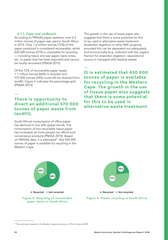#### 4.1.1. Paper and cardboard

According to PRASA's paper statistics, over 2.2 million tonnes of paper was used in South Africa in 2014. Only 1.6 million tonnes (72%) of the paper produced is considered recoverable, whilst 620 000 tonnes (27%) is unsuitable for recycling — including tissue and wax paper, bank notes, etc. or paper that has been exported and cannot be locally recovered (PRASA 2015).

Of the 72% of recoverable paper waste, 1.1 million tonnes (66%) is recycled and 570 000 tonnes (34%) could still be diverted from landfill. Figure 5 indicates the percentage split (PRASA 2015).

### **There is opportunity to divert an additional 570 000 tonnes of paper waste from landfill.**

South Africa's consumption of office paper has declined in line with global trends. The consumption of non-recyclable tissue paper has increased, as more people can afford such convenience products (PRASA 2015). Based on PRASA's data, it is estimated<sup>11</sup> that 430 000 tonnes of paper is available for recycling in the Western Cape.

The growth in the use of tissue paper also suggests that there is some potential for this to be used in alternative waste treatment (anaerobic digestion or other WtE projects), provided this can be separated out adequately and economically (e.g. collected with the organic fraction for anaerobic digestion, separated at source or managed with residual waste).

**It is estimated that 430 000 tonnes of paper is available for recycling in the Western Cape. The growth in the use of tissue paper also suggests that there is some potential for this to be used in alternative waste treatment**



—

—

<sup>11</sup> This estimate is based on the Western Cape's economy, at 13% of national GDP.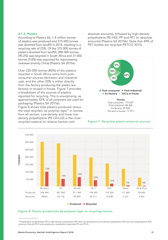#### 4.1.2. Plastics

According to Plastics SA, 1.4 million tonnes of plastics was produced and 315 000 tonnes was diverted from landfill in 2014, resulting in a recycling rate of 23%. Of the 315 000 tonnes of plastics diverted from landfill, 280 000 tonnes (90.2%) was recycled in South Africa and 31 000 tonnes (9.8%) was exported for reprocessing overseas (mainly China) (Plastics SA 2015a).

Over 220 000 tonnes (80%) of the plastics recycled in South Africa come from postconsumer sources (domestic and industrial use), and the other 20% is either directly from the factory producing the plastic (exfactory) or reused in-house. Figure 7 provides a breakdown of the sources of plastics reported for recycling. This is unsurprising, as approximately 55% of all polymers are used for packaging (Plastics SA 2015a).

Figure 8 shows total plastics produced versus the total recycled, by polymer type<sup>12</sup> in tonnes, from all sectors. Low-density and linear lowdensity polyethylene (PE-LD/LLD) is the most recycled material (in relative fraction and

absolute amounts), followed by high-density polyethylene (PE-HD), PP and PET (in absolute amounts) (Plastics SA 2015b). Note that 49% of PET bottles are recycled (PETCO 2015).



#### Figure 7: Recycled plastic material sources



#### Figure 8: Plastic production by polymer type vs recycling tonnes

<sup>&</sup>lt;sup>12</sup> Polyethylene terephthalate (PET); high-density polyethylene (PE-HD); low-density/linear low-density polyethylene (PE-LD/LLD); polypropylene (PP);<br>polyvinyl chloride (PVC) and polystyrene, polystyrene expanded (PS and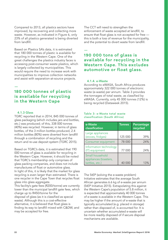Compared to 2013, all plastics sectors have improved, by recovering and collecting more waste. However, as indicated in Figure 6, only 23% of all plastics generated is being diverted from landfill.

Based on Plastics SA's data, it is estimated that 180 000 tonnes of plastic is available for recycling in the Western Cape. One of the great challenges the plastics industry faces is accessing post-consumer waste plastics, which is largely collected by municipalities. This would require the need to increase work with municipalities to improve collection networks and assist with separation-at-source projects.

### — **180 000 tonnes of plastic is available for recycling in the Western Cape**

#### 4.1.3 Glass

TGRC reported that in 2014, 845 000 tonnes of glass packaging (which includes jars and bottles, etc.) was produced; of this, 338 000 tonnes (40%) was recycled. However, in terms of glass bottles, of the 3 million bottles produced, 2.4 million bottles (80%) were diverted from landfill through a combination of recycling and the return and re-use deposit system (TGRC 2015).

Based on TGRC's data, it is estimated that 190 000 tonnes of glass is available for recycling in the Western Cape. However, it should be noted that TGRC's membership only comprises of glass packing companies, and does not include manufactures of float or automotive glass. In light of this, it is likely that the market for glass recycling is even larger than estimated. There is one recycler in the Cape Town that recycles float glass into glass aggregate.

This facility's gate fees (R200/tonne) are currently lower than the municipal landfill gate fees, which charge up to R450/tonne for the disposal of glass (as it is classified as special waste). Although this is a cost-effective alternative, it is believed that float glass is finding its way to landfill mixed with C&DW, and may be accepted for free.

The CCT will need to strengthen the enforcement of waste accepted at landfill, to ensure that float glass is not accepted for free this is both a loss of revenue for the municipality, and the potential to divert waste from landfill.

### — **190 000 tons of glass is available for recycling in the Western Cape. This excludes automotive or float glass.**

#### 4.1.4. e-Waste

According to eWASA, South Africa produces approximately 322 000 tonnes of electronic waste (e-waste) per annum. Table 3 provides the tonnages of total waste, as classified by eWASA. Currently, only 45 000 tonnes (12%) is being recycled (Dataweek 2015).

#### Table 3: e-Waste total waste classification (South Africa)

| e-Waste<br>classification                                  | <b>Tonnes</b> | Percentage<br>recycled |
|------------------------------------------------------------|---------------|------------------------|
| Large appliances<br>(stoves, fridges)                      | 125 000       | 39%                    |
| Consumer equipment                                         | 78 000        | 24%                    |
| Information technology<br>(IT) equipment                   | 77 000        | 24%                    |
| Small household<br>appliances (toasters,<br>kettles, etc.) | 40 000        | 13%                    |

The StEP (solving the e-waste problem) Initiative estimates that the average South African generates 6.6 kg of e-waste per annum (StEP Initiative 2015). Extrapolating this against the Western Cape's population of 5.8 million, it is expected that approximately 40 000 tonnes of e-waste is available in the Western Cape. This may be higher if the amount of e-waste that is typically accumulated (e.g. placed in storage) rather than disposed of, is accounted for. It is uncertain whether accumulated e-waste will be more readily disposed of if secure disposal mechanisms are available.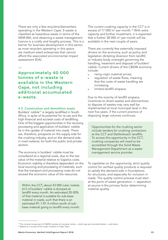There are only a few recyclers/dismantlers operating in the Western Cape. E-waste is classified as hazardous waste in terms of the NEM:WA, and obtaining a waste management licence is a costly and lengthy process. This is a barrier for business development in this sector, as most recyclers operating in this space are medium-sized enterprises that cannot afford the associated environmental impact assessment (EIA).

**Approximately 40 000 tonnes of e-waste is available in the Western Cape, not including additional accumulated e-waste.**

—

#### 4.2. Construction and demolition waste

Builders' rubble<sup>13</sup> is largely landfilled in South Africa, in spite of its potential for re-use and the high financial and societal costs of landfilling. One of the biggest opportunities in the recovery, processing and application of builders' rubble lie in the uptake of material into roads. There are, therefore, prospects on the supply side for the crushing industry, and on the demand side in road material, for both the public and private sectors.

The economy in builders' rubble must be considered at a regional scale, due to the low value of the material relative to logistics costs. Economic viability is therefore dependent on the local sourcing and processing of materials, such that the transport and processing costs do not exceed the economic value of the resources.

Within the CCT, about 43 000 cubic metres (m3 ) of builders' rubble is dumped at landfill every month. An estimated 20-30% of that material is suitable for sub-base material in roads, such that there is an estimated R1.1-R1.4 million worth of subbase material going to landfill every month. The current crushing capacity in the CCT is in excess of 17 000  $m<sup>3</sup>$  per month.<sup>14</sup> With extra capacity and further investment, it is expected that a further 38 000  $\mathrm{m}^3$  per month will be available in the next couple of years.

There are currently few externally imposed drivers on the economy, such as policy and legislation dictating diversion from landfill, or industry body oversight governing the handling, treatment and disposal of builders' rubble. Current drivers of the C&DW economy include:

- rising virgin material prices;
- regulation of waste flows, meaning that the costs of waste handling are increasing;
- limited landfill airspace.

Due to the scarcity of landfill airspace, incentives to divert wastes and disincentives to dispose of wastes may very well be implemented at local municipal level in the next five years, if the current practice of disposing large volumes continues.

Opportunities for the crushing sector include tenders for crushing contractors at the CCT and Stellenbosch landfills. To access this opportunity in the CCT, crushing companies will need to be accredited through the Solid Waste Management Department as a waste management service provider.

To capitalise on the opportunity, strict quality control for verified quality products is required to satisfy the demand side in foundations for structures, and especially for inclusion in roads. The quality control process must start at the point of waste generation — separation at source is the primary factor determining material quality.

<sup>&</sup>lt;sup>13</sup>The mineral component of C&DW consists of concrete, bricks — both clay and concrete blocks — and stone.<br><sup>14</sup> Based on a survey of five major crushers in Cape Town.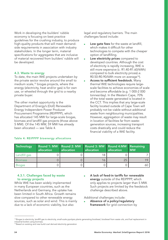Work in developing the builders' rubble economy is focusing on best practice guidelines for the crushing industry, to produce high-quality products that will meet demandside requirements in association with industry stakeholders. In the longer term, material specifications for aggregates that are inclusive of material recovered from builders' rubble will be developed.

#### 4.3. Waste to energy

To date, the main WtE projects undertaken by the private sector revolve around the small to medium scale,<sup>15</sup> biogas projects, where the energy (electricity, heat and/or gas) is for own use, or wheeled through the grid to a nearby private buyer.

The other market opportunity is the Department of Energy's (DoE) Renewable Energy Independent Power Producer Procurement Programme (REIPPPP), which has allocated 145 MW for large-scale biogas, biomass and landfill gas projects (those above 5 MW). Of the 145 MW, 59 MW has already been allocated — see Table 4.

legal and regulatory barriers. The main challenges faced include:

- Low gate fees for the waste at landfill, which makes it difficult for other technologies to compete with the cheaper option of landfilling.
- Low electricity prices compared to developed countries. Although the cost of electricity is rapidly increasing, WtE is still more expensive (c. R1.40-R1.60/kWh) compared to bulk electricity prices(i.e. R0.50-R0.90/kWh more on average<sup>16</sup>).
- Access to sufficient feedstock. Many thermal WtE technologies require largescale facilities to achieve economies of scale and become affordable (e.g. 1 000-2 000 tonnes/day). In the Western Cape, 70% of the total waste generated is located in the CCT. This implies that any large-scale facility located outside of Cape Town will probably not be viable without additional waste from neighbouring municipalities. However, aggregation of waste may result in location of facilities far from wastegeneration sources, increasing transport costs drastically and could reduce the financial viability of a WtE facility.

| Technology     | Round 1: MW Round 2: MW<br>allocation | allocation | Round 3: MW Round 4:MW Remaining<br>allocation | allocation | <b>MW</b> |
|----------------|---------------------------------------|------------|------------------------------------------------|------------|-----------|
| Landfill gas   |                                       |            | 18                                             |            |           |
| <b>Biomass</b> |                                       |            |                                                | 25         | 1Q        |
| <b>Biogas</b>  |                                       |            |                                                |            | 60        |

#### Table 4: REIPPPP bioenergy allocations

### 4.3.1. Challenges faced by waste to energy projects

While WtE has been widely implemented in many European countries, such as the Netherlands and Germany, the uptake has been limited in South Africa. Growth remains slow compared to other renewable energy sources, such as solar and wind. This is mainly due to a lack of economic viability, but also

A lack of feed-in tariffs for renewable energy outside of the REIPPPP, which only applies to projects larger than 5 MW. Such projects are limited by the feedstock challenge described above.

Additional challenges include:

Absence of a policy/regulatory framework for grid connection by

<sup>&</sup>lt;sup>15</sup> Biogas to electricity, landfill gas to electricity, small-scale pyrolysis plants generating biodiesel, biodiesel from waste oils, and fuel replacement in industrial boilers using biomass.

<sup>&</sup>lt;sup>16</sup> Based on existing and new build coal derived electricity generation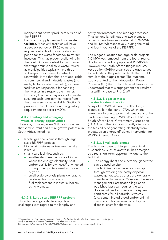independent power producers outside of the REIPPPP.

Long-term supply contract for waste facilities. Most WtE facilities will have a payback period of 15-20 years, and require contracts of the same duration period for the waste feedstock to attract investors. This has proven challenging in the South African context for companies that target municipal solid waste (MSW), as municipalities typically have threeto five-year procurement contracts renewable. Note that this is not applicable to commercial and industrial wastes (e.g. malls, factories, abattoirs, etc.), as these facilities are responsible for handling their wastes in a responsible manner. However, financiers may also not consider securing such long-term contracts from the private sector as bankable. Section 5 provides more details around regulatory requirements to access MSWs.

#### 4.3.2. Existing and emerging waste to energy opportunities

There are, however, some WtE opportunities that show current and future growth potential in South Africa, including:

- landfill gas and biomass through largescale REIPPPP projects;
- biogas at waste water treatment works (WWTW);
- small-scale facilities, such as:
	- small-scale to medium-scale biogas, where the energy (electricity, heat and/or gas) is for own use,<sup>17</sup> or wheeled through the grid to a nearby private buver:<sup>18</sup>
	- small-scale pyrolysis plants generating biodiesel from waste oils;
	- fuel replacement in industrial boilers using biomass.

#### 4.3.2.1. Large-scale REIPPPP projects

These technologies still face significant challenges with regard to the lengthy and costly environmental and bidding processes. Thus far, one landfill gas and two biomass projects have been successful, at R0.94/kWh and R1.40/kWh respectively, during the third and fourth rounds of the REIPPPP.

The biogas allocation for large-scale projects (>5 MW) was removed from the fourth round, due to lack of industry uptake at R0.90/kWh. However, the South African Biogas Industry Association (SABIA) organised a biogas survey to understand the preferred tariffs that would stimulate the biogas sector. The outcome was presented to the Independent Power Producer (IPP) Unit within National Treasury. It is understood that this engagement has resulted in a tariff increase to R1.40/kWh.

#### 4.3.2.2. Biogas at waste water treatment works

Many of the WWTW have installed biogas plants, built in the early 1970s, which are currently idle due to poor maintenance and the inadequate training of WWTW staff. GIZ, the South African Local Government Association (SALGA) and the DoE are currently discussing the feasibility of generating electricity from biogas, as an energy-efficiency intervention for WWTW in South Africa.

#### 4.3.2.3. Small-scale biogas

The business case for biogas from animal husbandries, such as abattoirs, has emerged as a real short-term opportunity, due to the fact that:

- The energy (heat and electricity) generated can be used on site.
- The facilities can achieve cost savings through avoiding the costly disposal wastes generated, as these are generally considered hazardous. Moreover, the waste management classification legislation published last year requires the safe disposal of, and submission of disposal certificates for, all hazardous wastes (e.g. contaminated blood and/or animal carcasses). This has resulted in higher disposal costs for abattoirs.

<sup>&</sup>lt;sup>17</sup> Cape Advanced Engineering project in Darling - for further details refer: http://www.cae.co.za/Projects/<br><sup>18</sup> Bio2Watt project in Bronkhorstspruit - for further details refer:

http://www.bio2watt.com/bio2watt%E2%80%99s-bronkhorstspruit-biogas-plant-(pty)-ltd.html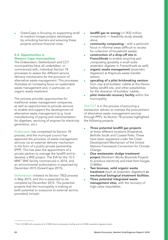GreenCape is focusing on supporting small to medium biogas project developers by unlocking barriers and ensuring these projects achieve financial close.

### 4.4. Opportunities in Western Cape municipalities

The Drakenstein, Stellenbosch and CCT municipalities have all undertaken, or commenced with, individual Section 78 processes to assess the different service delivery mechanisms for the provision of alternative waste management. This processes illustrates an increasing focus on sustainable waste management and, in particular, on organic waste treatment.

The process provides opportunities for traditional waste management companies, as well as opportunities to provide services to enable and support the development of alternative waste management (e.g. local manufacturing of piping and instrumentation for digesters, servicing of engines for electricity generation, etc.).

Drakenstein has completed its Section 78 process, and the municipal council has approved the provision of waste management services via an external delivery mechanism in the form of a public-private partnership (PPP). This has seen the appointment of a private partner to manage the landfill and to develop a WtE project. The EIA for the 12.5 MW19 WtE facility commenced in 2014, and an environmental authorisation is expected by December 2015 (GreenCape 2015).

Stellenbosch initiated its Section 78(3) process in May 2015, and this is expected to be complete by December 2015. The potential projects that the municipality is looking at (with potential to outsource to external service providers) include:

- landfill gas to energy  $(+/-R32$  million investment) — feasibility study already done;
- community composting with a particular focus in informal areas (difficult to access for collection of household waste);
- construction of a drop-off site in Franschhoek to enable recycling and composting (possibly a small-scale anaerobic digester in Franschhoek as well);
- organic waste management (anaerobic digestion) at Klapmuts waste transfer station;
- upscaling of a pilot brickmaking venture from clay and builders' rubble at the Devon Valley landfill site, and other possibilities for the diversion of builders' rubble;
- pilot materials recovery facility within the municipality.

The CCT is in the process of procuring a transaction advisor to oversee the procurement of alternative waste management services through PPPs. Its Section 78 process highlighted the following projects:

- Three potential landfill gas projects at three different locations (Vissershok, Bellville South and Coastal Park). These have been registered under the Clean Development Mechanism of the United Nations Framework Convention for Climate Change.
- One wastewater sludge treatment project (Northern Works Biosolids Project) to produce electricity and heat from biogas (3 MWe).
- Two biomass, solid organic waste treatment (such as anaerobic digestion) or mechanical biological treatment facilities.
- Three potential integrated waste management sites, with the recovery of high-value recyclables.

<sup>&</sup>lt;sup>19</sup> The 12.5 MW will comprise of a 10 MW direct combustion facility and a 2.5 MW anaerobic digestion plant.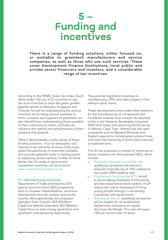### **5 – Funding and incentives**

**There is a range of funding solutions, either focused on, or available to greentech manufacturers and service companies, as well as those who use such services. These cover Development Finance Institutions, local public and private sector financiers and investors, and a considerable range of tax incentives.** 

According to the KPMG Green Tax Index, South Africa ranks 13th out of 21 countries to use tax as an incentive to drive the green growth agenda (ahead of Australia, Singapore and Finland). As well as understanding the various incentive and funding options available to them, investors and suppliers of greentech can also benefit from understanding those available to their customers or clients, as these can influence the viability and attractiveness of their products and projects.

Table 5 demonstrates a wide variety of these funding solutions. It is not exhaustive, but intends to be indicative of some of the more green-focused funds or incentives available, and provide potential leads or starting points to exploring various options. Further to those below, the full range of government investment incentives can be found at www.investmentincentives.co.za

#### 5.1. Manufacturing incentives

Department of Trade and Industry (DTI) special economic zone (SEZ) programme aims to increase industrialisation, economic development and job creation around the country. More specifically, the proposed Upington Solar Corridor SEZ (Northern Cape) and Atlantis Greentech SEZ (Western Cape) focus on solar energy generation and greentech manufacturing respectively.

They provide significant incentives to manufacturers, IPPs, and other players in the relevant value chains.

These development zones make ideal locations for the manufacturing of components that contribute towards local content. An example of this is the Gestamp Renewable Industries (GRI) wind tower manufacturing facility set up in Atlantis, Cape Town. Atlantis has also seen companies such as Skyward Windows and Kaytech expand to include green product lines, and local manufacturing of wind tower internals is expected soon.

The dti has proposed a number of incentives to attract investors into the proposed SEZs, which include:

- Reduced corporate income tax rate: qualifying companies will receive a reduced corporate tax of 15%, instead of the current 28% headline rate.
- **Employment Tax Incentive (ETI): aimed** at encouraging employers to hire young and less-experienced work seekers. It will reduce the cost to employers of hiring young people through a cost sharing mechanism with government.
- Building allowance: qualifying companies will be eligible for an accelerated depreciation allowance on capital structures (buildings). This rate will equal 10% per annum over 10 years.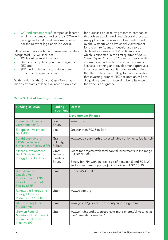VAT and customs relief: companies located within a customs-controlled area (CCA) will be eligible for VAT and customs relief as per the relevant legislation (dti 2015).

Other incentives available to investments into a designated SEZ will include:

- 12I Tax Allowance Incentive
- One-stop-shop facility within designated SEZ area
- SEZ fund for infrastructure development within the designated area.

Within Atlantis, the City of Cape Town has made vast tracts of land available at low cost for purchase or lease by greentech companies through an accelerated land disposal process. An application has now also been submitted by the Western Cape Provincial Government for the entire Atlantis Industrial area to be declared a Greentech SEZ, a decision on which is expected in the first quarter of 2016. GreenCape's Atlantis SEZ team can assist with information, and facilitate access to permits, licenses, planning and development approvals, incentives and finance. It is also worth noting that the dti has been willing to assure investors that investing prior to SEZ designation will not disqualify them from receiving benefits once the zone is designated.

| <b>Funding solution</b>                                                                                    | <b>Funding</b><br>instrument                 | <b>Details</b>                                                                                                                                                                                        |  |  |  |
|------------------------------------------------------------------------------------------------------------|----------------------------------------------|-------------------------------------------------------------------------------------------------------------------------------------------------------------------------------------------------------|--|--|--|
| <b>Development Finance</b>                                                                                 |                                              |                                                                                                                                                                                                       |  |  |  |
| <b>International Finance</b><br>Corporation (IFC)                                                          | Loan,<br>Equity                              | www.ifc.org                                                                                                                                                                                           |  |  |  |
| European Investment<br>Bank (EIB)                                                                          | l oan                                        | Greater than R0.25 million                                                                                                                                                                            |  |  |  |
| SouthSouthNorth /<br><b>DBSA: Sustainable</b><br><b>Settlements Facility (SSF)</b>                         | Grant,<br>Subsidy,<br>Rebate                 | www.southsouthnorth.org/sustainable-settlements-facility-ssf/                                                                                                                                         |  |  |  |
| <b>African Development</b><br>Bank: Sustainable<br><b>Energy Fund for Africa</b>                           | Grant,<br>Technical<br>assistance,<br>Equity | Grant for projects with total capital investments in the range<br>of USD 30-200m.<br>Equity for IPPs with an ideal size of between 5 and 50 MW<br>and a commitment per project of between USD 10-30m. |  |  |  |
| <b>United Nations</b><br>Development<br>Programme (UNDP):<br><b>Global Environmental</b><br>Facility (GEF) | Grant                                        | Up to USD 50 000                                                                                                                                                                                      |  |  |  |
| Renewable Energy and<br><b>Energy Efficiency</b><br>Partnership (REEEP)                                    | Grant                                        | www.reeep.org                                                                                                                                                                                         |  |  |  |
| <b>UK Prosperity Fund</b><br>Programme                                                                     | Grant                                        | www.gov.uk/guidance/prosperity-fund-programme                                                                                                                                                         |  |  |  |
| German Federal<br>Ministry of Environment:<br><b>International Climate</b><br>Initiative (IKI)             | Grant                                        | www.bmub.bund.de/en/topics/climate-energy/climate-initia-<br>tive/general-information/                                                                                                                |  |  |  |

#### Table 5: List of funding solutions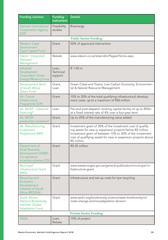| <b>Funding solution</b>                                                                                | <b>Funding</b><br>instrument  | <b>Details</b>                                                                                                                                                                                                                                                       |
|--------------------------------------------------------------------------------------------------------|-------------------------------|----------------------------------------------------------------------------------------------------------------------------------------------------------------------------------------------------------------------------------------------------------------------|
| German International<br><b>Cooperation Agency</b><br>(GIZ)                                             | Feasibility<br>studies        | <b>Bioenergy</b>                                                                                                                                                                                                                                                     |
|                                                                                                        |                               | <b>Public Sector Funding</b>                                                                                                                                                                                                                                         |
| <b>Western Cape</b><br>Government:<br><b>Cape Capital Fund</b>                                         | Grant                         | 50% of approved intervention                                                                                                                                                                                                                                         |
| Eskom: Integrated<br>Demand<br>Management                                                              | Rebate                        | www.eskom.co.za/sites/idm/Pages/Home.aspx                                                                                                                                                                                                                            |
| Industrial<br>Development<br><b>Corporation: Green</b><br><b>Energy Efficiency Fund</b>                | Loan,<br>Technical<br>support | R 1-50 m                                                                                                                                                                                                                                                             |
| Development Bank<br>of South Africa:<br><b>Green Fund</b>                                              | Grant,<br>Loan                | Green Cities and Towns; Low Carbon Economy; Environmen-<br>tal & Natural Resource Management.                                                                                                                                                                        |
| dti: Critical<br>Infrastructure<br>Programme (CIP)                                                     | Grant                         | 10% to 30% of the total qualifying infrastructural develop-<br>ment costs, up to a maximum of R50 million                                                                                                                                                            |
| dti: MCEP - industrial<br>financing*                                                                   | Loan                          | Pre-and post-dispatch working capital facility of up to R50m<br>at a fixed interest rate of 4% over a four-year term                                                                                                                                                 |
| dti: MCEP -<br>production incentive*                                                                   | Grant                         | Up to 25% of the manufacturing value added                                                                                                                                                                                                                           |
| dti: Manufacturing<br>Investment<br>Programme (MIP)                                                    | Grant                         | Investment grant of 30% of the investment cost of qualify-<br>ing assets for new or expansion projects below R5 million.<br>Investment grant of between 15% to 30% of the investment<br>cost of qualifying assets for new or expansion projects above<br>R5 million. |
| Department of<br><b>Small Business</b><br>Development (DSBD:<br>Co-operative<br>incentive scheme (CIS) | Grant                         | R0.35 million                                                                                                                                                                                                                                                        |
| Municipal<br>Infrastructure Grant<br>(MIG)                                                             | Grant                         | www.westerncape.gov.za/general-publication/municipal-in-<br>frastructure-grant                                                                                                                                                                                       |
| Recycling and<br>Economic<br>Development<br>Initiative of South<br>Africa (REDISA)                     | Grant                         | Infrastructure and set-up costs for tyre recycling                                                                                                                                                                                                                   |
| South African<br><b>National Biodiversity</b><br>Institute: Global<br><b>Adaptation Fund</b>           | Grant                         | www.sanbi.org/biodiversity-science/state-biodiversity/cli-<br>mate-change-and-bioadaptation-division                                                                                                                                                                 |
|                                                                                                        |                               | <b>Private Sector Funding</b>                                                                                                                                                                                                                                        |
| <b>ABSA</b>                                                                                            | Loan,<br>Rebate               | 15% of project                                                                                                                                                                                                                                                       |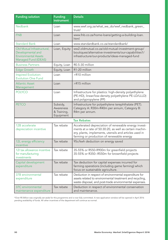| <b>Funding solution</b>                                                                                 | <b>Funding</b><br>instrument                      | <b>Details</b>                                                                                                                                                                                                         |  |  |  |
|---------------------------------------------------------------------------------------------------------|---------------------------------------------------|------------------------------------------------------------------------------------------------------------------------------------------------------------------------------------------------------------------------|--|--|--|
| <b>Nedbank</b>                                                                                          | Loan                                              | www.wwf.org.za/what_we_do/wwf_nedbank_green_<br>trust/                                                                                                                                                                 |  |  |  |
| <b>FNB</b>                                                                                              | Loan                                              | www.fnb.co.za/home-loans/getting-a-building-loan.<br>html                                                                                                                                                              |  |  |  |
| <b>Standard Bank</b>                                                                                    | Loan                                              | www.standardbank.co.za/standardbank/                                                                                                                                                                                   |  |  |  |
| Old Mutual Infrastructural,<br>Developmental and<br><b>Environmental Assets</b><br>Managed Fund (IDEAS) | Loan, Equity                                      | ww2.oldmutual.co.za/old-mutual-investment-group/<br>boutiques/alternative-investments/our-capabilities1/<br>infrastructure/our-products/ideas-managed-fund                                                             |  |  |  |
| <b>Business Partners</b>                                                                                | Equity, Loan                                      | R0.5-30 million                                                                                                                                                                                                        |  |  |  |
| <b>Edge Growth</b>                                                                                      | Equity, Loan                                      | R1-20 million                                                                                                                                                                                                          |  |  |  |
| Inspired Evolution:<br><b>Evolution One Fund</b>                                                        | Loan                                              | >R10 million                                                                                                                                                                                                           |  |  |  |
| <b>Atlantic Asset</b><br>Management                                                                     | Loan                                              | >R15 million                                                                                                                                                                                                           |  |  |  |
| <b>POLYCO</b>                                                                                           | Loan                                              | Infrastructure for plastics: high-density polyethylene<br>(PE-HD), linear/low-density polyethylene PE-LD/LLLD)<br>and polypropylene (PP)                                                                               |  |  |  |
| <b>PETCO</b>                                                                                            | Subsidy,<br>Awareness<br>& Training,<br>Equipment | Infrastructure for polyethylene terephthalate (PET).<br>Category A: R30m-R40m per annum, Category B:<br>R4m per annum.                                                                                                 |  |  |  |
| <b>Tax Rebates</b>                                                                                      |                                                   |                                                                                                                                                                                                                        |  |  |  |
| 12B accelerate<br>depreciation incentive                                                                | Tax rebate                                        | Accelerated depreciation of renewable energy invest-<br>ments at a rate of 50:30:20, as well as certain machin-<br>ery, plants, implements, utensils and articles used in<br>farming or production of renewable energy |  |  |  |
| 12L energy efficiency<br>incentive                                                                      | Tax rebate                                        | 95c/kwh deduction on energy saved                                                                                                                                                                                      |  |  |  |
| 12I tax allowance incentive<br>for manufacturing<br>investments                                         | Tax rebate                                        | 35-55% or R550-R900m for greenfield projects<br>35-55% or R350--R550m for brownfield projects                                                                                                                          |  |  |  |
| Capital development<br>expenditure                                                                      | Tax rebate                                        | Tax deduction for capital expenses incurred for<br>farming operations (including game farming) which<br>focus on sustainable agriculture.                                                                              |  |  |  |
| 37B environmental<br>expenditure                                                                        | Tax rebate                                        | Deduction in respect of environmental expenditure for<br>assets related to environmental treatment and recycling,<br>waste disposal, and post-trade environmental expenses.                                            |  |  |  |
| 37C environmental<br>maintenance expenditure                                                            | Tax rebate                                        | Deduction in respect of environmental conservation<br>and maintenance.                                                                                                                                                 |  |  |  |

\*Over R5 Billion was originally set aside for this programme and is now fully committed. A new application window will be opened in April 2016 pending availability of funds. All other incentives of the department will continue as normal.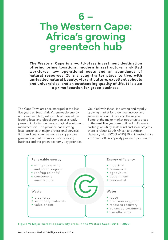### **6 – The Western Cape: Africa's growing greentech hub**

**The Western Cape is a world-class investment destination offering prime locations, modern infrastructure, a skilled workforce, low operational costs and an abundance of natural resources. It is a sought-after place to live, with unrivalled natural beauty, vibrant culture, excellent schools and universities, and an outstanding quality of life. It is also a prime location for green business.**

The Cape Town area has emerged in the last five years as South Africa's renewable energy and cleantech hub, with a critical mass of the leading local and global companies already present, including numerous original equipment manufacturers. The province has a strong local presence of major professional services firms and financiers, as well as a supportive government that has made ease of doing business and the green economy key priorities.

Coupled with these, is a strong and rapidly growing market for green technology and services in South Africa and the region. Some of the major market opportunity areas in the next five years are outlined in Figure 9. Notably, on utility scale wind and solar projects there is robust South African and African demand, with ±R200bn/US\$20bn invested since 2011 and >1GW capacity procured per annum.



Figure 9: Major market opportunity areas in the Western Cape (2015 – 2020)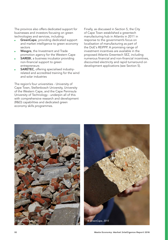The province also offers dedicated support for businesses and investors focusing on green technologies and services, including:

- GreenCape, providing dedicated support and market intelligence to green economy sectors
- Wesgro, the Investment and Trade promotion agency for the Western Cape
- **SAREBI**, a business incubator providing non-financial support to green entrepreneurs
- SARETEC, offering specialised industryrelated and accredited training for the wind and solar industries

The region's four universities - University of Cape Town, Stellenbosch University, University of the Western Cape, and the Cape Peninsula University of Technology - underpin all of this with comprehensive research and development (R&D) capabilities and dedicated green economy skills programmes.

Finally, as discussed in Section 5, the City of Cape Town established a greentech manufacturing hub in Atlantis in 2011 in response to the government's focus on localisation of manufacturing as part of the DoE's REIPPP. A promising range of investment incentives are available in the proposed Atlantis Greentech SEZ, including numerous financial and non-financial incentives, discounted electricity and rapid turnaround on development applications (see Section 5).



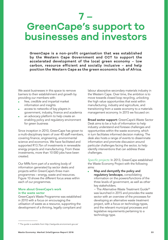### **7 – GreenCape's support to businesses and investors**

**GreenCape is a non-profit organisation that was established by the Western Cape Government and CCT to support the accelerated development of the local green economy – low carbon, resource efficient and socially inclusive – and help position the Western Cape as the green economic hub of Africa.**

We assist businesses in this space to remove barriers to their establishment and growth by providing our members with:

- free, credible and impartial market information and insights
- access to networks of key players in government, industry, finance and academia
- an advocacy platform to help create an enabling policy and regulatory environment for green business

Since inception in 2010, GreenCape has grown to a multi-disciplinary team of over 40 staff members, covering finance, engineering, environmental science and economics. We have facilitated and supported R13.7bn of investments in renewable energy projects and manufacturing. From these investments, more than 10 000 jobs have been created.

Our MIRs form part of a working body of information generated by sector desks and projects within GreenCape's three main programmes – energy, waste and resources. Figure 10 shows the different focus areas within each of our programmes.

#### More about GreenCape's work in the waste sector

GreenCape's Waste Programme was established in 2010 with a focus on encouraging the utilisation of waste as a resource, supporting the development of a thriving, legally compliant and labour absorptive secondary materials industry in the Western Cape. Over time, the ambition is to move towards closed loop recycling, unlocking the high value opportunities that exist within manufacturing, industry and agriculture, and transitioning from a waste economy to a materials management economy. In 2015 we focused on:

Broad sector support: GreenCape's Waste Sector Desk aims to be a hub of information to help industry understand and foresee challenges and opportunities within the waste economy, which in turn facilitates informed decision making. The desk also hosts a range of events to disseminate information and promote discussion around particular challenges facing the sector, to help identify interventions that can address these challenges.

*Specific projects:* In 2013, GreenCape established the Waste Economy Project with the following aims:

Map and demystify the policy and regulatory landscape, consolidating information on the powers/functions of the three levels of government, as well as other key stakeholders.

− The Alternative Waste Treatment Guide20 was launched in 2015 and provides the waste sector with an overview of the processes for developing an alternative waste treatment project, with a focus on technology types, and the relevant municipal processes and legislative requirements pertaining to a technology type.

<sup>20</sup> The guide is available from http://awtguide.environment.gov.za/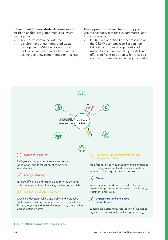Develop and demonstrate decision support tools to enable integrated municipal waste management

In 2015 we continued with the development of our integrated waste management (IWM) decision support tool, which assists municipalities in their planning and investment decision-making. Development of value chains to support use of secondary materials in commercial and industrial wastes

**IDED** In 2015 we prioritised further research on the C&DW economy (see Section 4.2). C&DW constitutes a large portion of waste disposed at landfill (up to 40%) and offer significant opportunity for re-use as secondary materials as well as job creation.



#### Energy Efficiency **2**

**1**

Energy efficient buildings and equipment, demand side management and financing contracting models.

#### Alternative Waste Treatment **3**

Municipal decision-making and policy and legislative tools on alternative waste treatment options; small-scale biogas, recycling and reuse (dry recyclables, construction and demolition waste).

energy, assets, logistics and expertise).



Water provision and economic development; greentech opportunities for water use efficiency, treatment and reuse.

#### Agriculture and Bio-Based Value Chains **6**

Sustainable agriculture, valorisation of wastes to high value bio-products, including bio-energy.

#### Figure 10: GreenCape's focus areas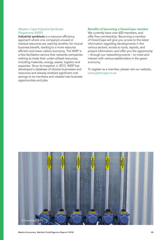#### *Western Cape Industrial Symbiosis Programme (WISP)*

Industrial symbiosis is a resource efficiency approach where one company's unused or residual resources are used by another, for mutual business benefit, leading to a more resource efficient and lower carbon economy. The WISP is a free facilitation service that networks companies wishing to trade their under-utilised resources, including materials, energy, assets, logistics and expertise. Since its inception in 2013, WISP has developed a database of diverse businesses and resources and already enabled significant cost savings to its members and created new business opportunities and jobs.

#### Benefits of becoming a GreenCape member

We currently have over 600 members, and offer free membership. Becoming a member of GreenCape will give you access to the latest information regarding developments in the various sectors; access to tools, reports, and project information; and offer you the opportunity – through our networking events – to meet and interact with various stakeholders in the green economy.

To register as a member, please visit our website, www.greencape.co.za

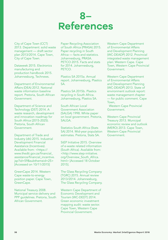### **8– References**

City of Cape Town (CCT) 2013. Department: solid waste management — draft sector plan 2013/2014. Cape Town, City of Cape Town.

Dataweek 2015. Electronics manufacturing and production handbook 2015. Johannesburg, Technews.

Department of Environmental Affairs (DEA) 2012. National waste information baseline report. Pretoria, South African Government.

Department of Science and Technology (DST) 2014. A waste research, development and innovation roadmap for South Africa (2015-2025). Pretoria, South African Government.

Department of Trade and Industry (dti) 2015. Industrial Development Financial Assistance (Incentives). Available from: <https:// www.thedti.gov.za/financial\_ assistance/financial\_incentive. jsp?id=59&subthemeid=25> [Accessed on 10/11/2015]

GreenCape 2014. Western Cape waste-to-energy position paper. Cape Town, GreenCape.

National Treasury 2008. Municipal service delivery and PPP guidelines. Pretoria, South African Government.

Paper Recycling Association of South Africa (PRASA) 2015. Paper recycling in South Africa — facts and statistics. Johannesburg, PRASA. PETCO 2015. Facts and stats for 2014. Johannesburg, PETCO.

Plastics SA 2015a. Annual report. Johannesburg, Plastics SA.

Plastics SA 2015b. Plastics recycling in South Africa. Johannesburg, Plastics SA.

South African Local Government Association (SALGA) 1998. White paper on local government. Pretoria, SALGA.

Statistics South Africa (Stats SA) 2014. Mid-year population estimates. Pretoria, Stats SA.

StEP Initiative 2015. Overview of e-waste related information (South Africa). Available from: <http://www.step-initiative. org/Overview\_South\_Africa. html> [Accessed 18 October 2015].

The Glass Recycling Company (TGRC) 2015. Annual review 2013/2014. Johannesburg, The Glass Recycling Company.

Western Cape Department of Economic Development and Tourism (WC-DEDT) 2014. Green economic investment mapping audit: waste sector. Cape Town, Western Cape Provincial Government.

Western Cape Department of Environmental Affairs and Development Planning (WC-DEADP) 2012. Provincial integrated waste management plan: Western Cape. Cape Town, Western Cape Provincial Government.

Western Cape Department of Environmental Affairs and Development Planning (WC-DEADP) 2013. State of environment outlook report: waste management chapter — for public comment. Cape Town,

 Western Cape Provincial Government.

Western Cape Provincial Treasury 2013. Municipal economic review and outlook (MERO) 2013. Cape Town, Western Cape Provincial Government.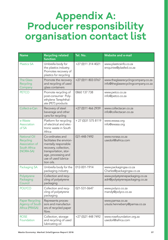# **Appendix A: Producer responsibility organisation contact list**

| <b>Name</b>                                                                     | <b>Recycling related</b><br>function                                                                                                                                                | Tel. No.             | <b>Website and e-mail</b>                                                 |
|---------------------------------------------------------------------------------|-------------------------------------------------------------------------------------------------------------------------------------------------------------------------------------|----------------------|---------------------------------------------------------------------------|
| <b>Plastics SA</b>                                                              | Umbrella body for<br>the plastics industry.<br>Promotes recovery of<br>plastics for recycling                                                                                       | +27 (0)11 314 4021   | www.plasticsinfo.co.za<br>enquiries@plasfed.co.za                         |
| <b>The Glass</b><br>Recycling<br>Company                                        | Promote the recovery<br>and recycling of used<br>glass containers                                                                                                                   | +27 (0)11 803 0767   | www.theglassrecyclingcompany.co.za<br>info@theglassrecyclingcompany.co.za |
| <b>PETCO</b>                                                                    | Promote recycling of<br>post-consumer Poly-<br>ethylene Terephthal-<br>ate (PET) products                                                                                           | 0860 137 738         | www.petco.co.za<br>info@petco.co.za                                       |
| Collect-a-Can                                                                   | Recovery of steel<br>beverage and other<br>cans for recycling                                                                                                                       | +27 (0)11 466 2939   | www.collectacan.co.za<br>info@collectacan.co.za                           |
| e-Waste<br>Association<br>of SA                                                 | Platform for recycling<br>of electrical and elec-<br>tronic waste in South<br>Africa                                                                                                | + 27 (0) 31 575 8119 | www.ewasa.org<br>info@ewasa.org                                           |
| <b>National Oil</b><br>Recycling<br>Association of<br>South Africa<br>(NORA-SA) | Co-ordinates and<br>facilitates the environ-<br>mentally responsible<br>recovery, collection,<br>transportation, stor-<br>age, processing and<br>use of used lubrica-<br>tion oils. | 021-448-7492         | www.norasa.co.za<br>usedoil@iafrica.com                                   |
| Packaging SA                                                                    | Umbrella body for the<br>packaging industry                                                                                                                                         | 012-001-1914         | www.packagingsa.co.za<br>Charles@packagingsa.co.za                        |
| Polystyrene<br>Packaging<br>Council                                             | Collection and recy-<br>cling of polystyrene<br>packaging                                                                                                                           |                      | www.polystyrenepackaging.co.za<br>adri@polystyrenepackaging.co.za         |
| <b>POLYCO</b>                                                                   | Collection and recy-<br>cling of polystyrene<br>packaging                                                                                                                           | 021-531-0647         | www.polyco.co.za<br>mandy@polyco.co.za                                    |
| <b>Paper Recycling</b><br>Agency of South<br>Africa (PRASA)                     | Represents proces-<br>sors and manufactur-<br>ers of recycled paper<br>fibre.                                                                                                       |                      | www.pamsa.co.za<br>ursula.henneberry@pamsa.co.za                          |
| <b>ROSE</b><br>Foundation                                                       | Collection, storage<br>and recycling of used<br>lubricating oil                                                                                                                     | +27 (0)21 448 7492   | www.rosefoundation.org.za<br>usedoil@iafrica.com                          |